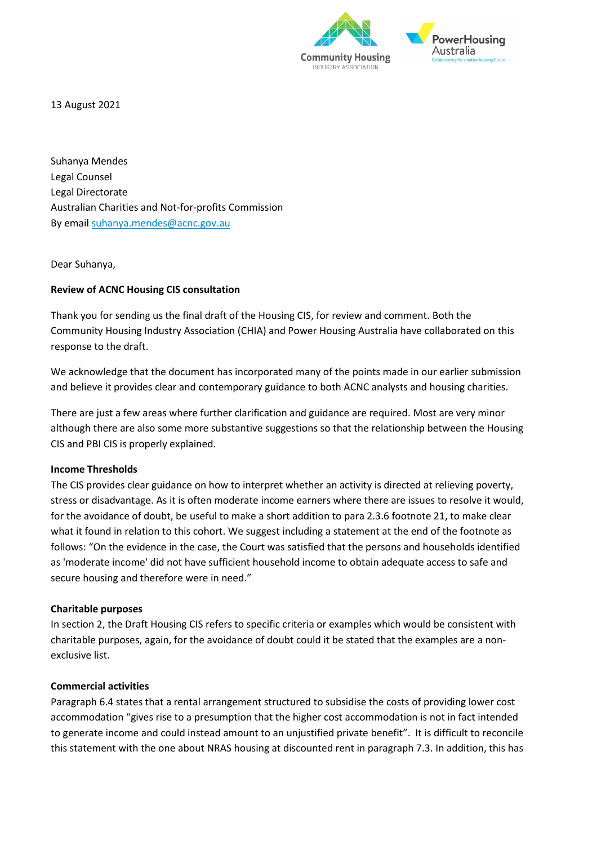

13 August 2021

Suhanya Mendes Legal Counsel Legal Directorate Australian Charities and Not-for-profits Commission By email [suhanya.mendes@acnc.gov.au](mailto:joanna.austin@acnc.gov.au)

Dear Suhanya,

### **Review of ACNC Housing CIS consultation**

Thank you for sending us the final draft of the Housing CIS, for review and comment. Both the Community Housing Industry Association (CHIA) and Power Housing Australia have collaborated on this response to the draft.

We acknowledge that the document has incorporated many of the points made in our earlier submission and believe it provides clear and contemporary guidance to both ACNC analysts and housing charities.

There are just a few areas where further clarification and guidance are required. Most are very minor although there are also some more substantive suggestions so that the relationship between the Housing CIS and PBI CIS is properly explained.

### **Income Thresholds**

The CIS provides clear guidance on how to interpret whether an activity is directed at relieving poverty, stress or disadvantage. As it is often moderate income earners where there are issues to resolve it would, for the avoidance of doubt, be useful to make a short addition to para 2.3.6 footnote 21, to make clear what it found in relation to this cohort. We suggest including a statement at the end of the footnote as follows: "On the evidence in the case, the Court was satisfied that the persons and households identified as 'moderate income' did not have sufficient household income to obtain adequate access to safe and secure housing and therefore were in need."

### **Charitable purposes**

In section 2, the Draft Housing CIS refers to specific criteria or examples which would be consistent with charitable purposes, again, for the avoidance of doubt could it be stated that the examples are a nonexclusive list.

## **Commercial activities**

Paragraph 6.4 states that a rental arrangement structured to subsidise the costs of providing lower cost accommodation "gives rise to a presumption that the higher cost accommodation is not in fact intended to generate income and could instead amount to an unjustified private benefit". It is difficult to reconcile this statement with the one about NRAS housing at discounted rent in paragraph 7.3. In addition, this has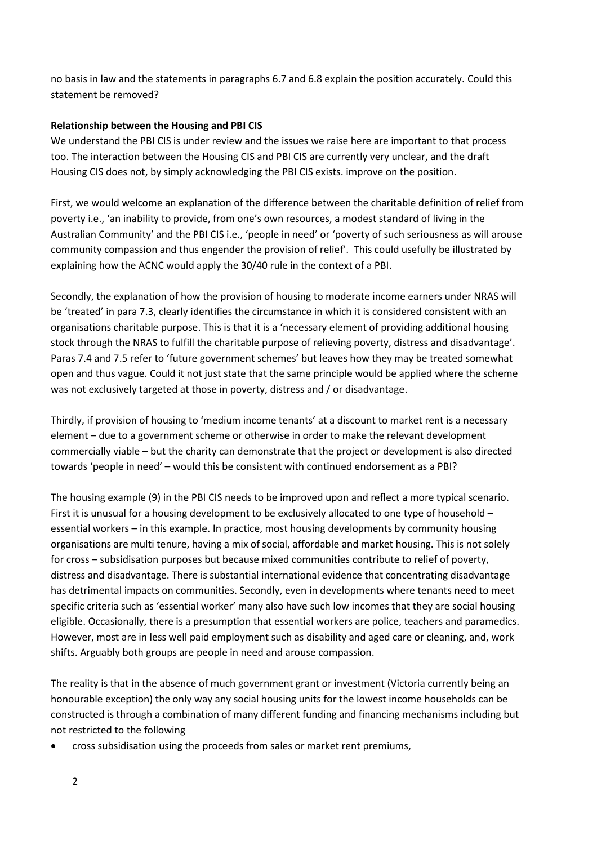no basis in law and the statements in paragraphs 6.7 and 6.8 explain the position accurately. Could this statement be removed?

# **Relationship between the Housing and PBI CIS**

We understand the PBI CIS is under review and the issues we raise here are important to that process too. The interaction between the Housing CIS and PBI CIS are currently very unclear, and the draft Housing CIS does not, by simply acknowledging the PBI CIS exists. improve on the position.

First, we would welcome an explanation of the difference between the charitable definition of relief from poverty i.e., 'an inability to provide, from one's own resources, a modest standard of living in the Australian Community' and the PBI CIS i.e., 'people in need' or 'poverty of such seriousness as will arouse community compassion and thus engender the provision of relief'. This could usefully be illustrated by explaining how the ACNC would apply the 30/40 rule in the context of a PBI.

Secondly, the explanation of how the provision of housing to moderate income earners under NRAS will be 'treated' in para 7.3, clearly identifies the circumstance in which it is considered consistent with an organisations charitable purpose. This is that it is a 'necessary element of providing additional housing stock through the NRAS to fulfill the charitable purpose of relieving poverty, distress and disadvantage'. Paras 7.4 and 7.5 refer to 'future government schemes' but leaves how they may be treated somewhat open and thus vague. Could it not just state that the same principle would be applied where the scheme was not exclusively targeted at those in poverty, distress and / or disadvantage.

Thirdly, if provision of housing to 'medium income tenants' at a discount to market rent is a necessary element – due to a government scheme or otherwise in order to make the relevant development commercially viable – but the charity can demonstrate that the project or development is also directed towards 'people in need' – would this be consistent with continued endorsement as a PBI?

The housing example (9) in the PBI CIS needs to be improved upon and reflect a more typical scenario. First it is unusual for a housing development to be exclusively allocated to one type of household – essential workers – in this example. In practice, most housing developments by community housing organisations are multi tenure, having a mix of social, affordable and market housing. This is not solely for cross – subsidisation purposes but because mixed communities contribute to relief of poverty, distress and disadvantage. There is substantial international evidence that concentrating disadvantage has detrimental impacts on communities. Secondly, even in developments where tenants need to meet specific criteria such as 'essential worker' many also have such low incomes that they are social housing eligible. Occasionally, there is a presumption that essential workers are police, teachers and paramedics. However, most are in less well paid employment such as disability and aged care or cleaning, and, work shifts. Arguably both groups are people in need and arouse compassion.

The reality is that in the absence of much government grant or investment (Victoria currently being an honourable exception) the only way any social housing units for the lowest income households can be constructed is through a combination of many different funding and financing mechanisms including but not restricted to the following

• cross subsidisation using the proceeds from sales or market rent premiums,